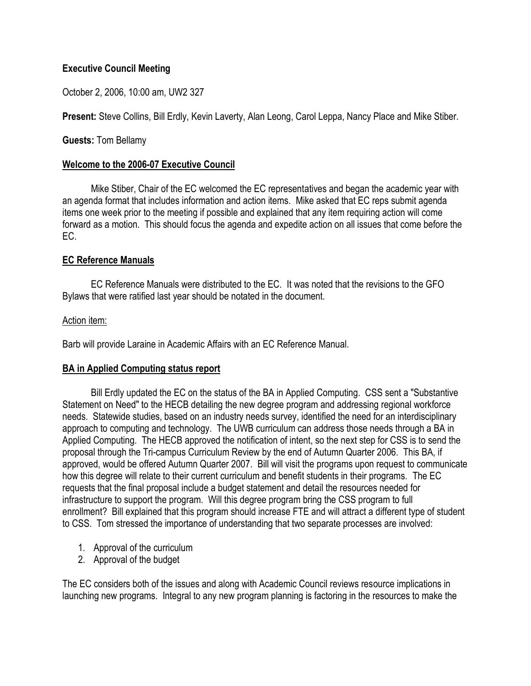# **Executive Council Meeting**

October 2, 2006, 10:00 am, UW2 327

**Present:** Steve Collins, Bill Erdly, Kevin Laverty, Alan Leong, Carol Leppa, Nancy Place and Mike Stiber.

**Guests:** Tom Bellamy

### **Welcome to the 2006-07 Executive Council**

Mike Stiber, Chair of the EC welcomed the EC representatives and began the academic year with an agenda format that includes information and action items. Mike asked that EC reps submit agenda items one week prior to the meeting if possible and explained that any item requiring action will come forward as a motion. This should focus the agenda and expedite action on all issues that come before the EC.

# **EC Reference Manuals**

 EC Reference Manuals were distributed to the EC. It was noted that the revisions to the GFO Bylaws that were ratified last year should be notated in the document.

### Action item:

Barb will provide Laraine in Academic Affairs with an EC Reference Manual.

# **BA in Applied Computing status report**

 Bill Erdly updated the EC on the status of the BA in Applied Computing. CSS sent a "Substantive Statement on Need" to the HECB detailing the new degree program and addressing regional workforce needs. Statewide studies, based on an industry needs survey, identified the need for an interdisciplinary approach to computing and technology. The UWB curriculum can address those needs through a BA in Applied Computing. The HECB approved the notification of intent, so the next step for CSS is to send the proposal through the Tri-campus Curriculum Review by the end of Autumn Quarter 2006. This BA, if approved, would be offered Autumn Quarter 2007. Bill will visit the programs upon request to communicate how this degree will relate to their current curriculum and benefit students in their programs. The EC requests that the final proposal include a budget statement and detail the resources needed for infrastructure to support the program. Will this degree program bring the CSS program to full enrollment? Bill explained that this program should increase FTE and will attract a different type of student to CSS. Tom stressed the importance of understanding that two separate processes are involved:

- 1. Approval of the curriculum
- 2. Approval of the budget

The EC considers both of the issues and along with Academic Council reviews resource implications in launching new programs. Integral to any new program planning is factoring in the resources to make the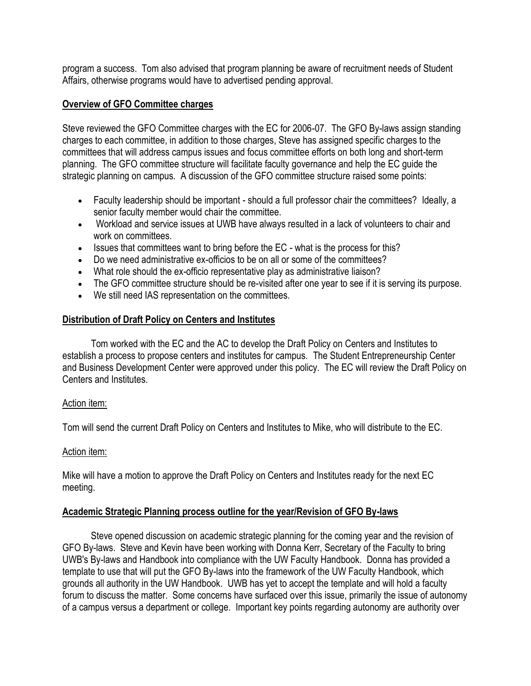program a success. Tom also advised that program planning be aware of recruitment needs of Student Affairs, otherwise programs would have to advertised pending approval.

### **Overview of GFO Committee charges**

Steve reviewed the GFO Committee charges with the EC for 2006-07. The GFO By-laws assign standing charges to each committee, in addition to those charges, Steve has assigned specific charges to the committees that will address campus issues and focus committee efforts on both long and short-term planning. The GFO committee structure will facilitate faculty governance and help the EC guide the strategic planning on campus. A discussion of the GFO committee structure raised some points:

- Faculty leadership should be important should a full professor chair the committees? Ideally, a senior faculty member would chair the committee.
- Workload and service issues at UWB have always resulted in a lack of volunteers to chair and work on committees.
- Issues that committees want to bring before the EC what is the process for this?
- Do we need administrative ex-officios to be on all or some of the committees?
- What role should the ex-officio representative play as administrative liaison?
- The GFO committee structure should be re-visited after one year to see if it is serving its purpose.
- We still need IAS representation on the committees.

### **Distribution of Draft Policy on Centers and Institutes**

 Tom worked with the EC and the AC to develop the Draft Policy on Centers and Institutes to establish a process to propose centers and institutes for campus. The Student Entrepreneurship Center and Business Development Center were approved under this policy. The EC will review the Draft Policy on Centers and Institutes.

#### Action item:

Tom will send the current Draft Policy on Centers and Institutes to Mike, who will distribute to the EC.

#### Action item:

Mike will have a motion to approve the Draft Policy on Centers and Institutes ready for the next EC meeting.

#### **Academic Strategic Planning process outline for the year/Revision of GFO By-laws**

 Steve opened discussion on academic strategic planning for the coming year and the revision of GFO By-laws. Steve and Kevin have been working with Donna Kerr, Secretary of the Faculty to bring UWB's By-laws and Handbook into compliance with the UW Faculty Handbook. Donna has provided a template to use that will put the GFO By-laws into the framework of the UW Faculty Handbook, which grounds all authority in the UW Handbook. UWB has yet to accept the template and will hold a faculty forum to discuss the matter. Some concerns have surfaced over this issue, primarily the issue of autonomy of a campus versus a department or college. Important key points regarding autonomy are authority over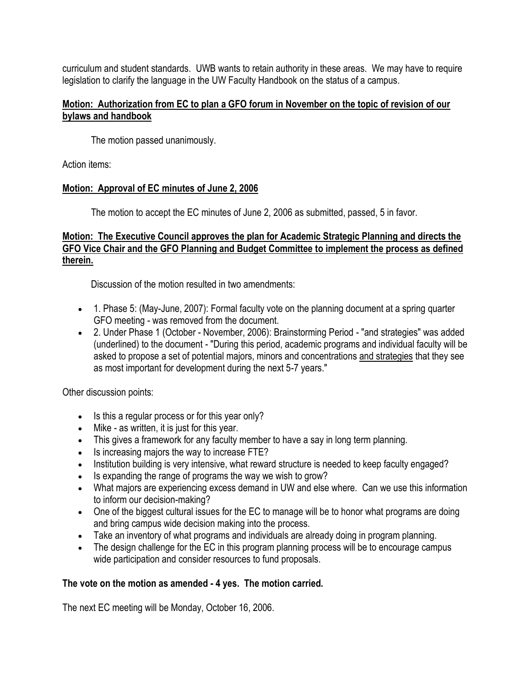curriculum and student standards. UWB wants to retain authority in these areas. We may have to require legislation to clarify the language in the UW Faculty Handbook on the status of a campus.

### **Motion: Authorization from EC to plan a GFO forum in November on the topic of revision of our bylaws and handbook**

The motion passed unanimously.

Action items:

# **Motion: Approval of EC minutes of June 2, 2006**

The motion to accept the EC minutes of June 2, 2006 as submitted, passed, 5 in favor.

# **Motion: The Executive Council approves the plan for Academic Strategic Planning and directs the GFO Vice Chair and the GFO Planning and Budget Committee to implement the process as defined therein.**

Discussion of the motion resulted in two amendments:

- 1. Phase 5: (May-June, 2007): Formal faculty vote on the planning document at a spring quarter GFO meeting - was removed from the document.
- 2. Under Phase 1 (October November, 2006): Brainstorming Period "and strategies" was added (underlined) to the document - "During this period, academic programs and individual faculty will be asked to propose a set of potential majors, minors and concentrations and strategies that they see as most important for development during the next 5-7 years."

Other discussion points:

- Is this a regular process or for this year only?
- Mike as written, it is just for this year.
- This gives a framework for any faculty member to have a say in long term planning.
- Is increasing majors the way to increase FTE?
- Institution building is very intensive, what reward structure is needed to keep faculty engaged?
- Is expanding the range of programs the way we wish to grow?
- What majors are experiencing excess demand in UW and else where. Can we use this information to inform our decision-making?
- One of the biggest cultural issues for the EC to manage will be to honor what programs are doing and bring campus wide decision making into the process.
- Take an inventory of what programs and individuals are already doing in program planning.
- The design challenge for the EC in this program planning process will be to encourage campus wide participation and consider resources to fund proposals.

# **The vote on the motion as amended - 4 yes. The motion carried.**

The next EC meeting will be Monday, October 16, 2006.